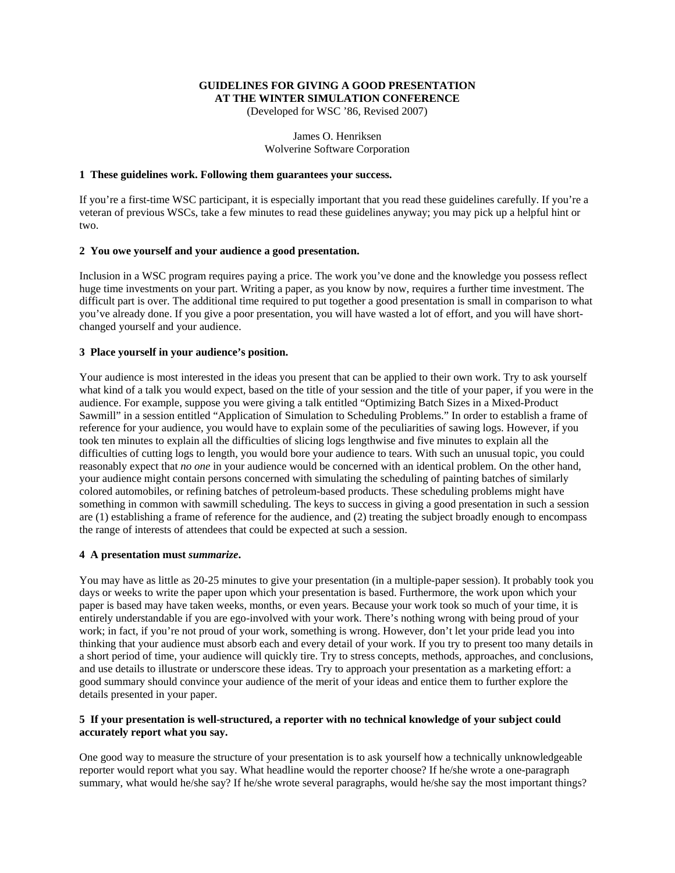# **GUIDELINES FOR GIVING A GOOD PRESENTATION AT THE WINTER SIMULATION CONFERENCE**

(Developed for WSC '86, Revised 2007)

James O. Henriksen Wolverine Software Corporation

#### **1 These guidelines work. Following them guarantees your success.**

If you're a first-time WSC participant, it is especially important that you read these guidelines carefully. If you're a veteran of previous WSCs, take a few minutes to read these guidelines anyway; you may pick up a helpful hint or two.

#### **2 You owe yourself and your audience a good presentation.**

Inclusion in a WSC program requires paying a price. The work you've done and the knowledge you possess reflect huge time investments on your part. Writing a paper, as you know by now, requires a further time investment. The difficult part is over. The additional time required to put together a good presentation is small in comparison to what you've already done. If you give a poor presentation, you will have wasted a lot of effort, and you will have shortchanged yourself and your audience.

## **3 Place yourself in your audience's position.**

Your audience is most interested in the ideas you present that can be applied to their own work. Try to ask yourself what kind of a talk you would expect, based on the title of your session and the title of your paper, if you were in the audience. For example, suppose you were giving a talk entitled "Optimizing Batch Sizes in a Mixed-Product Sawmill" in a session entitled "Application of Simulation to Scheduling Problems." In order to establish a frame of reference for your audience, you would have to explain some of the peculiarities of sawing logs. However, if you took ten minutes to explain all the difficulties of slicing logs lengthwise and five minutes to explain all the difficulties of cutting logs to length, you would bore your audience to tears. With such an unusual topic, you could reasonably expect that *no one* in your audience would be concerned with an identical problem. On the other hand, your audience might contain persons concerned with simulating the scheduling of painting batches of similarly colored automobiles, or refining batches of petroleum-based products. These scheduling problems might have something in common with sawmill scheduling. The keys to success in giving a good presentation in such a session are (1) establishing a frame of reference for the audience, and (2) treating the subject broadly enough to encompass the range of interests of attendees that could be expected at such a session.

#### **4 A presentation must** *summarize***.**

You may have as little as 20-25 minutes to give your presentation (in a multiple-paper session). It probably took you days or weeks to write the paper upon which your presentation is based. Furthermore, the work upon which your paper is based may have taken weeks, months, or even years. Because your work took so much of your time, it is entirely understandable if you are ego-involved with your work. There's nothing wrong with being proud of your work; in fact, if you're not proud of your work, something is wrong. However, don't let your pride lead you into thinking that your audience must absorb each and every detail of your work. If you try to present too many details in a short period of time, your audience will quickly tire. Try to stress concepts, methods, approaches, and conclusions, and use details to illustrate or underscore these ideas. Try to approach your presentation as a marketing effort: a good summary should convince your audience of the merit of your ideas and entice them to further explore the details presented in your paper.

## **5 If your presentation is well-structured, a reporter with no technical knowledge of your subject could accurately report what you say.**

One good way to measure the structure of your presentation is to ask yourself how a technically unknowledgeable reporter would report what you say. What headline would the reporter choose? If he/she wrote a one-paragraph summary, what would he/she say? If he/she wrote several paragraphs, would he/she say the most important things?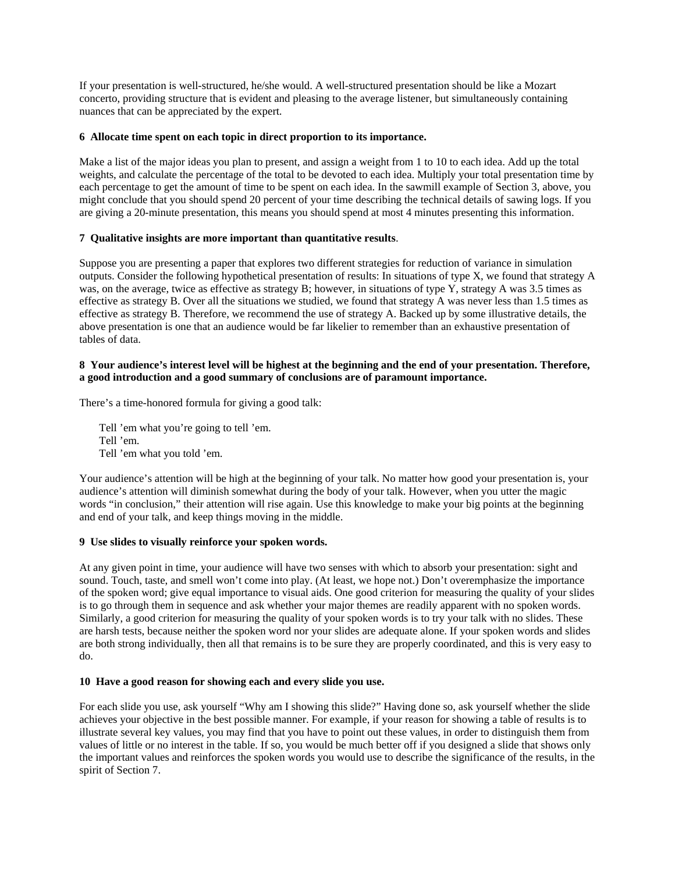If your presentation is well-structured, he/she would. A well-structured presentation should be like a Mozart concerto, providing structure that is evident and pleasing to the average listener, but simultaneously containing nuances that can be appreciated by the expert.

## **6 Allocate time spent on each topic in direct proportion to its importance.**

Make a list of the major ideas you plan to present, and assign a weight from 1 to 10 to each idea. Add up the total weights, and calculate the percentage of the total to be devoted to each idea. Multiply your total presentation time by each percentage to get the amount of time to be spent on each idea. In the sawmill example of Section 3, above, you might conclude that you should spend 20 percent of your time describing the technical details of sawing logs. If you are giving a 20-minute presentation, this means you should spend at most 4 minutes presenting this information.

## **7 Qualitative insights are more important than quantitative results**.

Suppose you are presenting a paper that explores two different strategies for reduction of variance in simulation outputs. Consider the following hypothetical presentation of results: In situations of type X, we found that strategy A was, on the average, twice as effective as strategy B; however, in situations of type Y, strategy A was 3.5 times as effective as strategy B. Over all the situations we studied, we found that strategy A was never less than 1.5 times as effective as strategy B. Therefore, we recommend the use of strategy A. Backed up by some illustrative details, the above presentation is one that an audience would be far likelier to remember than an exhaustive presentation of tables of data.

#### **8 Your audience's interest level will be highest at the beginning and the end of your presentation. Therefore, a good introduction and a good summary of conclusions are of paramount importance.**

There's a time-honored formula for giving a good talk:

Tell 'em what you're going to tell 'em. Tell 'em. Tell 'em what you told 'em.

Your audience's attention will be high at the beginning of your talk. No matter how good your presentation is, your audience's attention will diminish somewhat during the body of your talk. However, when you utter the magic words "in conclusion," their attention will rise again. Use this knowledge to make your big points at the beginning and end of your talk, and keep things moving in the middle.

## **9 Use slides to visually reinforce your spoken words.**

At any given point in time, your audience will have two senses with which to absorb your presentation: sight and sound. Touch, taste, and smell won't come into play. (At least, we hope not.) Don't overemphasize the importance of the spoken word; give equal importance to visual aids. One good criterion for measuring the quality of your slides is to go through them in sequence and ask whether your major themes are readily apparent with no spoken words. Similarly, a good criterion for measuring the quality of your spoken words is to try your talk with no slides. These are harsh tests, because neither the spoken word nor your slides are adequate alone. If your spoken words and slides are both strong individually, then all that remains is to be sure they are properly coordinated, and this is very easy to do.

#### **10 Have a good reason for showing each and every slide you use.**

For each slide you use, ask yourself "Why am I showing this slide?" Having done so, ask yourself whether the slide achieves your objective in the best possible manner. For example, if your reason for showing a table of results is to illustrate several key values, you may find that you have to point out these values, in order to distinguish them from values of little or no interest in the table. If so, you would be much better off if you designed a slide that shows only the important values and reinforces the spoken words you would use to describe the significance of the results, in the spirit of Section 7.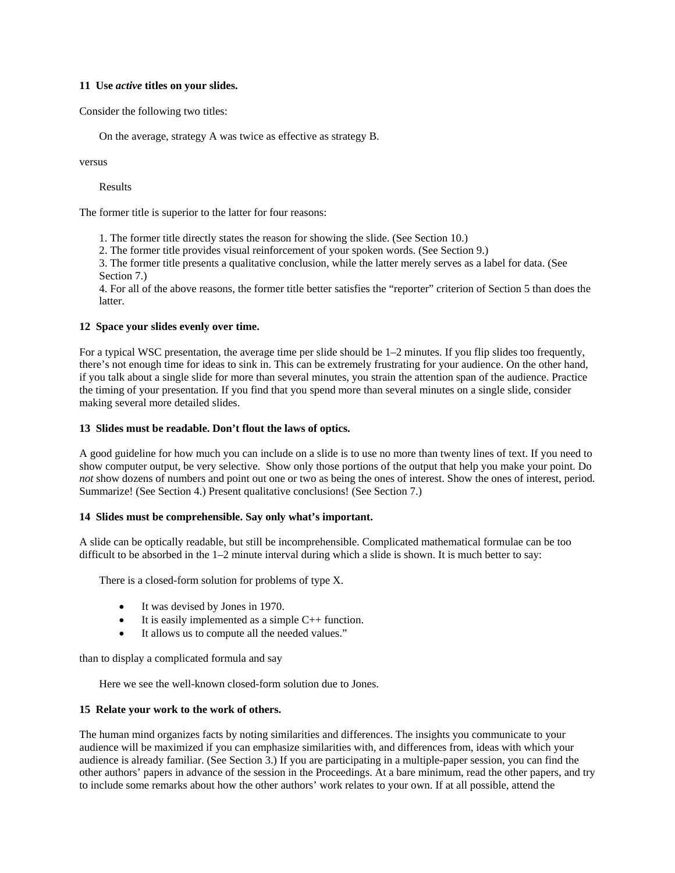## **11 Use** *active* **titles on your slides.**

Consider the following two titles:

On the average, strategy A was twice as effective as strategy B.

versus

Results

The former title is superior to the latter for four reasons:

1. The former title directly states the reason for showing the slide. (See Section 10.)

2. The former title provides visual reinforcement of your spoken words. (See Section 9.)

3. The former title presents a qualitative conclusion, while the latter merely serves as a label for data. (See Section 7.)

4. For all of the above reasons, the former title better satisfies the "reporter" criterion of Section 5 than does the latter.

## **12 Space your slides evenly over time.**

For a typical WSC presentation, the average time per slide should be 1–2 minutes. If you flip slides too frequently, there's not enough time for ideas to sink in. This can be extremely frustrating for your audience. On the other hand, if you talk about a single slide for more than several minutes, you strain the attention span of the audience. Practice the timing of your presentation. If you find that you spend more than several minutes on a single slide, consider making several more detailed slides.

## **13 Slides must be readable. Don't flout the laws of optics.**

A good guideline for how much you can include on a slide is to use no more than twenty lines of text. If you need to show computer output, be very selective. Show only those portions of the output that help you make your point. Do *not* show dozens of numbers and point out one or two as being the ones of interest. Show the ones of interest, period. Summarize! (See Section 4.) Present qualitative conclusions! (See Section 7.)

#### **14 Slides must be comprehensible. Say only what's important.**

A slide can be optically readable, but still be incomprehensible. Complicated mathematical formulae can be too difficult to be absorbed in the  $1-2$  minute interval during which a slide is shown. It is much better to say:

There is a closed-form solution for problems of type X.

- It was devised by Jones in 1970.
- It is easily implemented as a simple  $C_{++}$  function.
- It allows us to compute all the needed values."

than to display a complicated formula and say

Here we see the well-known closed-form solution due to Jones.

#### **15 Relate your work to the work of others.**

The human mind organizes facts by noting similarities and differences. The insights you communicate to your audience will be maximized if you can emphasize similarities with, and differences from, ideas with which your audience is already familiar. (See Section 3.) If you are participating in a multiple-paper session, you can find the other authors' papers in advance of the session in the Proceedings. At a bare minimum, read the other papers, and try to include some remarks about how the other authors' work relates to your own. If at all possible, attend the